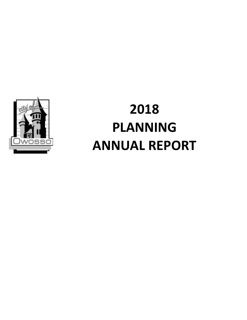

# **2018 PLANNING ANNUAL REPORT**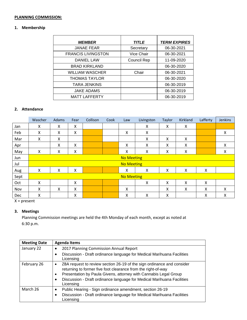## **PLANNING COMMISSION:**

# **1. Membership**

| <b>MEMBER</b>             | <b>TITLE</b> | <b>TERM EXPIRES</b> |
|---------------------------|--------------|---------------------|
| <b>JANAE FEAR</b>         | Secretary    | 06-30-2021          |
| <b>FRANCIS LIVINGSTON</b> | Vice Chair   | 06-30-2021          |
| <b>DANIEL LAW</b>         | Council Rep  | 11-09-2020          |
| <b>BRAD KIRKLAND</b>      |              | 06-30-2020          |
| <b>WILLIAM WASCHER</b>    | Chair        | 06-30-2021          |
| <b>THOMAS TAYLOR</b>      |              | 06-30-2020          |
| <b>TARA JENKINS</b>       |              | 06-30-2019          |
| <b>JAKE ADAMS</b>         |              | 06-30-2019          |
| <b>MATT LAFFERTY</b>      |              | 06-30-2019          |

## **2. Attendance**

|      | Wascher | <b>Adams</b> | Fear | Collison | Cook | Law               | Livingston | Taylor | Kirkland | Lafferty | Jenkins |
|------|---------|--------------|------|----------|------|-------------------|------------|--------|----------|----------|---------|
| Jan  | X       | x            | X    |          |      |                   | X          | x      | X        |          |         |
| Feb  | X       | X            | X    |          |      | Χ                 | X          |        |          |          | X       |
| Mar  | X       | X            |      |          |      |                   | X          | X      | X        |          |         |
| Apr  |         | X            | X    |          |      | Χ                 | X          | X      | X        |          | X       |
| May  | X       | χ            | X    |          |      | Χ                 | Χ          | х      | Χ        |          | X       |
| Jun  |         |              |      |          |      | <b>No Meeting</b> |            |        |          |          |         |
| Jul  |         |              |      |          |      | <b>No Meeting</b> |            |        |          |          |         |
| Aug  | X       | X            | χ    |          |      | X                 | Χ          | Χ      | X        | Χ        |         |
| Sept |         |              |      |          |      | <b>No Meeting</b> |            |        |          |          |         |
| Oct  | X       |              | X    |          |      |                   | X          | X      | X        | Χ        |         |
| Nov  | X       | X            | X    |          |      | X                 |            | X      | X        | X        | X       |
| Dec  | X       |              | X    |          |      | X                 | X          | X      |          | x        | X       |

 $X = present$ 

## **3. Meetings**

Planning Commission meetings are held the 4th Monday of each month, except as noted at 6:30 p.m.

| <b>Meeting Date</b> | <b>Agenda Items</b>                                                                                                                                                                                                                                                                                          |
|---------------------|--------------------------------------------------------------------------------------------------------------------------------------------------------------------------------------------------------------------------------------------------------------------------------------------------------------|
| January 22          | 2017 Planning Commission Annual Report<br>Discussion - Draft ordinance language for Medical Marihuana Facilities<br>Licensing                                                                                                                                                                                |
| February 26         | ZBA request to review section 26-19 of the sign ordinance and consider<br>٠<br>returning to former five foot clearance from the right-of-way<br>Presentation by Paula Givens, attorney with Cannabis Legal Group<br>٠<br>Discussion - Draft ordinance language for Medical Marihuana Facilities<br>Licensing |
| March 26            | Public Hearing - Sign ordinance amendment, section 26-19<br>٠<br>Discussion - Draft ordinance language for Medical Marihuana Facilities<br>٠<br>Licensing                                                                                                                                                    |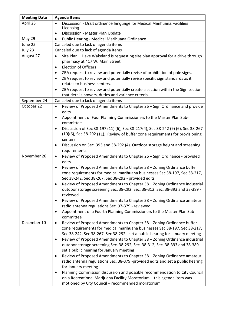| <b>Meeting Date</b> | <b>Agenda Items</b>                                                                                                                                                                                                                                                                                                                                                                                                                                             |
|---------------------|-----------------------------------------------------------------------------------------------------------------------------------------------------------------------------------------------------------------------------------------------------------------------------------------------------------------------------------------------------------------------------------------------------------------------------------------------------------------|
| April 23            | Discussion - Draft ordinance language for Medical Marihuana Facilities<br>$\bullet$<br>Licensing                                                                                                                                                                                                                                                                                                                                                                |
|                     | Discussion - Master Plan Update<br>$\bullet$                                                                                                                                                                                                                                                                                                                                                                                                                    |
| May 29              | Public Hearing - Medical Marihuana Ordinance<br>$\bullet$                                                                                                                                                                                                                                                                                                                                                                                                       |
| June 25             | Canceled due to lack of agenda items                                                                                                                                                                                                                                                                                                                                                                                                                            |
| July 23             | Canceled due to lack of agenda items                                                                                                                                                                                                                                                                                                                                                                                                                            |
| August 27           | Site Plan - Dave Wakeland is requesting site plan approval for a drive through<br>$\bullet$<br>pharmacy at 417 W. Main Street<br><b>Election of Officers</b><br>$\bullet$                                                                                                                                                                                                                                                                                       |
|                     | ZBA request to review and potentially revise of prohibition of pole signs.<br>ZBA request to review and potentially revise specific sign standards as it<br>relates to business centers.<br>ZBA request to review and potentially create a section within the Sign section<br>that details powers, duties and variance criteria.                                                                                                                                |
| September 24        | Canceled due to lack of agenda items                                                                                                                                                                                                                                                                                                                                                                                                                            |
| October 22          | Review of Proposed Amendments to Chapter 26 - Sign Ordinance and provide<br>$\bullet$<br>edits<br>Appointment of Four Planning Commissioners to the Master Plan Sub-<br>$\bullet$                                                                                                                                                                                                                                                                               |
|                     | committee<br>Discussion of Sec 38-197 (11) (6), Sec 38-217(4), Sec 38-242 (9) (6), Sec 38-267<br>٠<br>(10)(6), Sec 38-292 (11). Review of buffer zone requirements for provisioning<br>centers                                                                                                                                                                                                                                                                  |
|                     | Discussion on Sec. 393 and 38-292 (4). Outdoor storage height and screening<br>٠<br>requirements                                                                                                                                                                                                                                                                                                                                                                |
| November 26         | Review of Proposed Amendments to Chapter 26 - Sign Ordinance - provided<br>$\bullet$<br>edits<br>Review of Proposed Amendments to Chapter 38 - Zoning Ordinance buffer<br>$\bullet$<br>zone requirements for medical marihuana businesses Sec 38-197, Sec 38-217,<br>Sec 38-242, Sec 38-267, Sec 38-292 - provided edits                                                                                                                                        |
|                     | Review of Proposed Amendments to Chapter 38 - Zoning Ordinance industrial<br>$\bullet$<br>outdoor storage screening Sec. 38-292, Sec. 38-312, Sec. 38-393 and 38-389 -<br>reviewed                                                                                                                                                                                                                                                                              |
|                     | Review of Proposed Amendments to Chapter 38 - Zoning Ordinance amateur<br>$\bullet$<br>radio antenna regulations Sec. 97-379 - reviewed                                                                                                                                                                                                                                                                                                                         |
|                     | Appointment of a Fourth Planning Commissioners to the Master Plan Sub-<br>$\bullet$<br>committee                                                                                                                                                                                                                                                                                                                                                                |
| December 10         | Review of Proposed Amendments to Chapter 38 - Zoning Ordinance buffer<br>$\bullet$<br>zone requirements for medical marihuana businesses Sec 38-197, Sec 38-217,<br>Sec 38-242, Sec 38-267, Sec 38-292 - set a public hearing for January meeting<br>Review of Proposed Amendments to Chapter 38 - Zoning Ordinance industrial<br>٠<br>outdoor storage screening Sec. 38-292, Sec. 38-312, Sec. 38-393 and 38-389 -<br>set a public hearing for January meeting |
|                     | Review of Proposed Amendments to Chapter 38 - Zoning Ordinance amateur<br>$\bullet$<br>radio antenna regulations Sec. 38-379 -provided edits and set a public hearing<br>for January meeting<br>Planning Commission discussion and possible recommendation to City Council<br>٠<br>on a Recreational Marijuana Facility Moratorium - this agenda item was                                                                                                       |
|                     | motioned by City Council - recommended moratorium                                                                                                                                                                                                                                                                                                                                                                                                               |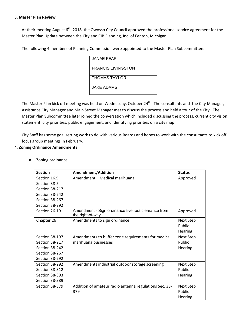#### 3. **Master Plan Review**

At their meeting August  $6<sup>th</sup>$ , 2018, the Owosso City Council approved the professional service agreement for the Master Plan Update between the City and CIB Planning, Inc. of Fenton, Michigan.

The following 4 members of Planning Commission were appointed to the Master Plan Subcommittee:

| JANAE FEAR                |
|---------------------------|
| <b>FRANCIS LIVINGSTON</b> |
| THOMAS TAYLOR             |
| JAKE ADAMS                |

The Master Plan kick off meeting was held on Wednesday, October 24<sup>th</sup>. The consultants and the City Manager, Assistance City Manager and Main Street Manager met to discuss the process and held a tour of the City. The Master Plan Subcommittee later joined the conversation which included discussing the process, current city vision statement, city priorities, public engagement, and identifying priorities on a city map.

City Staff has some goal setting work to do with various Boards and hopes to work with the consultants to kick off focus group meetings in February.

## 4. **Zoning Ordinance Amendments**

| <b>Section</b>        | Amendment/Addition                                                      | <b>Status</b>                         |
|-----------------------|-------------------------------------------------------------------------|---------------------------------------|
| Section 16.5          | Amendment - Medical marihuana                                           | Approved                              |
| Section 38-5          |                                                                         |                                       |
| Section 38-217        |                                                                         |                                       |
| Section 38-242        |                                                                         |                                       |
| Section 38-267        |                                                                         |                                       |
| Section 38-292        |                                                                         |                                       |
| Section 26-19         | Amendment - Sign ordinance five foot clearance from<br>the right-of-way | Approved                              |
| Chapter 26            | Amendments to sign ordinance                                            | <b>Next Step</b><br>Public<br>Hearing |
| Section 38-197        | Amendments to buffer zone requirements for medical                      | Next Step                             |
| Section 38-217        | marihuana businesses                                                    | Public                                |
| Section 38-242        |                                                                         | Hearing                               |
| Section 38-267        |                                                                         |                                       |
| Section 38-292        |                                                                         |                                       |
| Section 38-292        | Amendments industrial outdoor storage screening                         | <b>Next Step</b>                      |
| Section 38-312        |                                                                         | Public                                |
| <b>Section 38-393</b> |                                                                         | Hearing                               |
| Section 38-389        |                                                                         |                                       |
| Section 38-379        | Addition of amateur radio antenna regulations Sec. 38-<br>379           | <b>Next Step</b><br>Public<br>Hearing |

a. Zoning ordinance: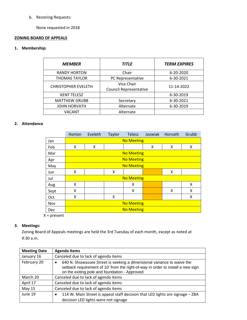## b. Rezoning Requests:

None requested in 2018

## **ZONING BOARD OF APPEALS**

#### **1. Membership:**

| <b>MEMBER</b>              | <b>TITLE</b>                         | <b>TERM EXPIRES</b> |
|----------------------------|--------------------------------------|---------------------|
| <b>RANDY HORTON</b>        | Chair                                | 6-20-2020           |
| <b>THOMAS TAYLOR</b>       | PC Representative                    | 6-30-2021           |
| <b>CHRISTOPHER EVELETH</b> | Vice Chair<br>Council Representative | 11-14-2022          |
| <b>KENT TELESZ</b>         |                                      | 6-30-2019           |
| <b>MATTHEW GRUBB</b>       | Secretary                            | 6-30-2021           |
| <b>JOHN HORVATH</b>        | Alternate                            | 6-30-2019           |
| <b>VACANT</b>              | Alternate                            |                     |

## **2. Attendance**

|            | Horton | Eveleth | <b>Taylor</b> | <b>Telesz</b>     | Jozwiak | Horvath | Grubb |
|------------|--------|---------|---------------|-------------------|---------|---------|-------|
| Jan        |        |         |               | <b>No Meeting</b> |         |         |       |
| Feb        | X      | X       |               |                   | X       | X       | X     |
| Mar        |        |         |               | <b>No Meeting</b> |         |         |       |
| Apr        |        |         |               | <b>No Meeting</b> |         |         |       |
| May        |        |         |               | <b>No Meeting</b> |         |         |       |
| <b>Jun</b> | Χ      |         | X             |                   |         | X       |       |
| Jul        |        |         |               | <b>No Meeting</b> |         |         |       |
| Aug        | X      |         |               | X                 |         |         | X     |
| Sept       | Χ      |         |               | X                 |         | X       | X     |
| Oct        | X      |         | X             |                   |         |         | X     |
| Nov        |        |         |               | <b>No Meeting</b> |         |         |       |
| <b>Dec</b> |        |         |               | <b>No Meeting</b> |         |         |       |

 X = present

# **3. Meetings:**

Zoning Board of Appeals meetings are held the 3rd Tuesday of each month, except as noted at 9:30 a.m.

| <b>Meeting Date</b> | <b>Agenda Items</b>                                                                                                                                                                                                      |
|---------------------|--------------------------------------------------------------------------------------------------------------------------------------------------------------------------------------------------------------------------|
| January 16          | Canceled due to lack of agenda items                                                                                                                                                                                     |
| February 20         | 640 N. Shiawassee Street is seeking a dimensional variance to waive the<br>$\bullet$<br>setback requirement of 10' from the right-of-way in order to install a new sign<br>on the exiting pole and foundation - Approved |
| March 20            | Canceled due to lack of agenda items                                                                                                                                                                                     |
| April 17            | Canceled due to lack of agenda items                                                                                                                                                                                     |
| May 15              | Canceled due to lack of agenda items                                                                                                                                                                                     |
| June 19             | 114 W. Main Street is appeal staff decision that LED lights are signage - ZBA<br>$\bullet$<br>decision LED lights were not signage                                                                                       |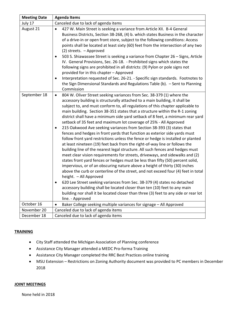| <b>Meeting Date</b> | <b>Agenda Items</b>                                                                                                                                                                                                                                                                                                                                                                                                                                                                                                                                                                                                                                                                                                                                                                                                                                                                                                                                                                                                                                                                                                                                                                                                                                                                                                                                                                                                                                                                                                                                 |  |  |  |  |
|---------------------|-----------------------------------------------------------------------------------------------------------------------------------------------------------------------------------------------------------------------------------------------------------------------------------------------------------------------------------------------------------------------------------------------------------------------------------------------------------------------------------------------------------------------------------------------------------------------------------------------------------------------------------------------------------------------------------------------------------------------------------------------------------------------------------------------------------------------------------------------------------------------------------------------------------------------------------------------------------------------------------------------------------------------------------------------------------------------------------------------------------------------------------------------------------------------------------------------------------------------------------------------------------------------------------------------------------------------------------------------------------------------------------------------------------------------------------------------------------------------------------------------------------------------------------------------------|--|--|--|--|
| July 17             | Canceled due to lack of agenda items                                                                                                                                                                                                                                                                                                                                                                                                                                                                                                                                                                                                                                                                                                                                                                                                                                                                                                                                                                                                                                                                                                                                                                                                                                                                                                                                                                                                                                                                                                                |  |  |  |  |
| August 21           | 427 W. Main Street is seeking a variance from Article XII. B-4 General<br>$\bullet$<br>Business Districts, Section 38-268, (4) b. which states Business in the character<br>of a drive-in or open front store, subject to the following conditions: Access<br>points shall be located at least sixty (60) feet from the intersection of any two<br>(2) streets. - Approved<br>503 S. Shiawassee Street is seeking a variance from Chapter 26 - Signs, Article<br>$\bullet$<br>IV. General Provisions, Sec. 26-18. - Prohibited signs which states the<br>following signs are prohibited in all districts: (9) Pylon or pole signs not<br>provided for in this chapter - Approved<br>Interpretation requested of Sec. 26-21. - Specific sign standards. Footnotes to<br>$\bullet$<br>the Sign Dimensional Standards and Regulations Table (b). - Sent to Planning<br>Commission                                                                                                                                                                                                                                                                                                                                                                                                                                                                                                                                                                                                                                                                      |  |  |  |  |
| September 18        | 804 W. Oliver Street seeking variances from Sec. 38-379 (1) where the<br>$\bullet$<br>accessory building is structurally attached to a main building, it shall be<br>subject to, and must conform to, all regulations of this chapter applicable to<br>main building. Section 38-351 states that a structure within the R-1 zoning<br>district shall have a minimum side yard setback of 8 feet, a minimum rear yard<br>setback of 35 feet and maximum lot coverage of 25% - All Approved<br>215 Oakwood Ave seeking variances from Section 38-393 (3) states that<br>fences and hedges in front yards that function as exterior side yards must<br>follow front yard restrictions unless the fence or hedge is installed or planted<br>at least nineteen (19) feet back from the right-of-way line or follows the<br>building line of the nearest legal structure. All such fences and hedges must<br>meet clear vision requirements for streets, driveways, and sidewalks and (2)<br>states front yard fences or hedges must be less than fifty (50) percent solid,<br>impervious, or of an obscuring nature above a height of thirty (30) inches<br>above the curb or centerline of the street, and not exceed four (4) feet in total<br>height. - All Approved<br>620 Lee Street seeking variances from Sec. 38-379 (4) states no detached<br>$\bullet$<br>accessory building shall be located closer than ten (10) feet to any main<br>building nor shall it be located closer than three (3) feet to any side or rear lot<br>line. - Approved |  |  |  |  |
| October 16          | Baker College seeking multiple variances for signage - All Approved<br>$\bullet$                                                                                                                                                                                                                                                                                                                                                                                                                                                                                                                                                                                                                                                                                                                                                                                                                                                                                                                                                                                                                                                                                                                                                                                                                                                                                                                                                                                                                                                                    |  |  |  |  |
| November 20         | Canceled due to lack of agenda items                                                                                                                                                                                                                                                                                                                                                                                                                                                                                                                                                                                                                                                                                                                                                                                                                                                                                                                                                                                                                                                                                                                                                                                                                                                                                                                                                                                                                                                                                                                |  |  |  |  |
| December 18         | Canceled due to lack of agenda items                                                                                                                                                                                                                                                                                                                                                                                                                                                                                                                                                                                                                                                                                                                                                                                                                                                                                                                                                                                                                                                                                                                                                                                                                                                                                                                                                                                                                                                                                                                |  |  |  |  |

#### **TRAINING**

- City Staff attended the Michigan Association of Planning conference
- Assistance City Manager attended a MEDC Pro‐forma Training
- Assistance City Manager completed the RRC Best Practices online training
- MSU Extension Restrictions on Zoning Authority document was provided to PC members in December 2018

#### **JOINT MEETINGS**

None held in 2018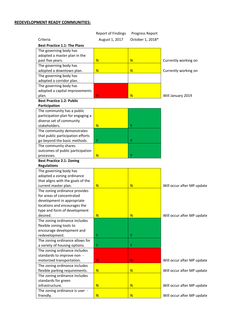## **REDEVELOPMENT READY COMMUNITIES:**

|                                     | <b>Report of Findings</b>                                                                                                                                                                                                                                                                                                                                                                                                                                                                                           | Progress Report  |                            |
|-------------------------------------|---------------------------------------------------------------------------------------------------------------------------------------------------------------------------------------------------------------------------------------------------------------------------------------------------------------------------------------------------------------------------------------------------------------------------------------------------------------------------------------------------------------------|------------------|----------------------------|
| Criteria                            | August 1, 2017                                                                                                                                                                                                                                                                                                                                                                                                                                                                                                      | October 1, 2018* |                            |
| <b>Best Practice 1.1: The Plans</b> |                                                                                                                                                                                                                                                                                                                                                                                                                                                                                                                     |                  |                            |
| The governing body has              |                                                                                                                                                                                                                                                                                                                                                                                                                                                                                                                     |                  |                            |
| adopted a master plan in the        |                                                                                                                                                                                                                                                                                                                                                                                                                                                                                                                     |                  |                            |
| past five years.                    | N                                                                                                                                                                                                                                                                                                                                                                                                                                                                                                                   | N                | Currently working on       |
| The governing body has              |                                                                                                                                                                                                                                                                                                                                                                                                                                                                                                                     |                  |                            |
| adopted a downtown plan.            | N                                                                                                                                                                                                                                                                                                                                                                                                                                                                                                                   | N                | Currently working on       |
| The governing body has              |                                                                                                                                                                                                                                                                                                                                                                                                                                                                                                                     |                  |                            |
| adopted a corridor plan.            |                                                                                                                                                                                                                                                                                                                                                                                                                                                                                                                     |                  |                            |
| The governing body has              |                                                                                                                                                                                                                                                                                                                                                                                                                                                                                                                     |                  |                            |
| adopted a capital improvements      |                                                                                                                                                                                                                                                                                                                                                                                                                                                                                                                     |                  |                            |
| plan.                               | N.                                                                                                                                                                                                                                                                                                                                                                                                                                                                                                                  | N <sub>1</sub>   | Will January 2019          |
| <b>Best Practice 1.2: Public</b>    |                                                                                                                                                                                                                                                                                                                                                                                                                                                                                                                     |                  |                            |
| Participation                       |                                                                                                                                                                                                                                                                                                                                                                                                                                                                                                                     |                  |                            |
| The community has a public          |                                                                                                                                                                                                                                                                                                                                                                                                                                                                                                                     |                  |                            |
| participation plan for engaging a   |                                                                                                                                                                                                                                                                                                                                                                                                                                                                                                                     |                  |                            |
| diverse set of community            |                                                                                                                                                                                                                                                                                                                                                                                                                                                                                                                     |                  |                            |
|                                     | N                                                                                                                                                                                                                                                                                                                                                                                                                                                                                                                   | Y                |                            |
|                                     |                                                                                                                                                                                                                                                                                                                                                                                                                                                                                                                     |                  |                            |
|                                     |                                                                                                                                                                                                                                                                                                                                                                                                                                                                                                                     |                  |                            |
|                                     |                                                                                                                                                                                                                                                                                                                                                                                                                                                                                                                     |                  |                            |
|                                     |                                                                                                                                                                                                                                                                                                                                                                                                                                                                                                                     |                  |                            |
|                                     |                                                                                                                                                                                                                                                                                                                                                                                                                                                                                                                     |                  |                            |
|                                     |                                                                                                                                                                                                                                                                                                                                                                                                                                                                                                                     |                  |                            |
|                                     |                                                                                                                                                                                                                                                                                                                                                                                                                                                                                                                     |                  |                            |
|                                     |                                                                                                                                                                                                                                                                                                                                                                                                                                                                                                                     |                  |                            |
|                                     |                                                                                                                                                                                                                                                                                                                                                                                                                                                                                                                     |                  |                            |
|                                     |                                                                                                                                                                                                                                                                                                                                                                                                                                                                                                                     |                  |                            |
|                                     |                                                                                                                                                                                                                                                                                                                                                                                                                                                                                                                     |                  | Will occur after MP update |
|                                     |                                                                                                                                                                                                                                                                                                                                                                                                                                                                                                                     |                  |                            |
| for areas of concentrated           |                                                                                                                                                                                                                                                                                                                                                                                                                                                                                                                     |                  |                            |
|                                     |                                                                                                                                                                                                                                                                                                                                                                                                                                                                                                                     |                  |                            |
| locations and encourages the        |                                                                                                                                                                                                                                                                                                                                                                                                                                                                                                                     |                  |                            |
| type and form of development        |                                                                                                                                                                                                                                                                                                                                                                                                                                                                                                                     |                  |                            |
| desired.                            | N                                                                                                                                                                                                                                                                                                                                                                                                                                                                                                                   | N                | Will occur after MP update |
| The zoning ordinance includes       |                                                                                                                                                                                                                                                                                                                                                                                                                                                                                                                     |                  |                            |
| flexible zoning tools to            |                                                                                                                                                                                                                                                                                                                                                                                                                                                                                                                     |                  |                            |
| encourage development and           |                                                                                                                                                                                                                                                                                                                                                                                                                                                                                                                     |                  |                            |
| redevelopment.                      | Υ                                                                                                                                                                                                                                                                                                                                                                                                                                                                                                                   | Υ                |                            |
| The zoning ordinance allows for     |                                                                                                                                                                                                                                                                                                                                                                                                                                                                                                                     |                  |                            |
| a variety of housing options.       | Y.                                                                                                                                                                                                                                                                                                                                                                                                                                                                                                                  | Y                |                            |
| The zoning ordinance includes       |                                                                                                                                                                                                                                                                                                                                                                                                                                                                                                                     |                  |                            |
| standards to improve non -          |                                                                                                                                                                                                                                                                                                                                                                                                                                                                                                                     |                  |                            |
|                                     | N.                                                                                                                                                                                                                                                                                                                                                                                                                                                                                                                  | N                | Will occur after MP update |
|                                     |                                                                                                                                                                                                                                                                                                                                                                                                                                                                                                                     |                  |                            |
| flexible parking requirements.      | N                                                                                                                                                                                                                                                                                                                                                                                                                                                                                                                   | N                | Will occur after MP update |
| The zoning ordinance includes       |                                                                                                                                                                                                                                                                                                                                                                                                                                                                                                                     |                  |                            |
| standards for green                 |                                                                                                                                                                                                                                                                                                                                                                                                                                                                                                                     |                  |                            |
| infrastructure.                     | N                                                                                                                                                                                                                                                                                                                                                                                                                                                                                                                   | N                | Will occur after MP update |
| The zoning ordinance is user -      |                                                                                                                                                                                                                                                                                                                                                                                                                                                                                                                     |                  |                            |
|                                     | N                                                                                                                                                                                                                                                                                                                                                                                                                                                                                                                   |                  | Will occur after MP update |
|                                     | stakeholders.<br>The community demonstrates<br>that public participation efforts<br>go beyond the basic methods.<br>The community shares<br>outcomes of public participation<br>processes.<br><b>Best Practice 2.1: Zoning</b><br><b>Regulations</b><br>The governing body has<br>adopted a zoning ordinance<br>that aligns with the goals of the<br>current master plan.<br>The zoning ordinance provides<br>development in appropriate<br>motorized transportation.<br>The zoning ordinance includes<br>friendly. | Υ<br>N<br>N      | Υ<br>Υ<br>N<br>N           |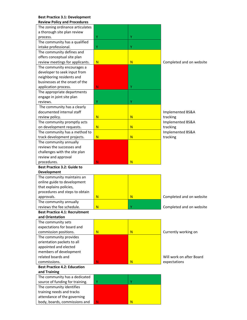#### **Best Practice 3.1: Development Review Policy and Procedures**

| ,                                                         |                         |    |                          |
|-----------------------------------------------------------|-------------------------|----|--------------------------|
| The zoning ordinance articulates                          |                         |    |                          |
| a thorough site plan review                               |                         |    |                          |
| process.                                                  | Υ                       | Y  |                          |
| The community has a qualified                             |                         |    |                          |
| intake professional.                                      | Υ                       | Υ  |                          |
| The community defines and                                 |                         |    |                          |
| offers conceptual site plan                               |                         |    |                          |
| review meetings for applicants.                           | N                       | N. | Completed and on website |
| The community encourages a                                |                         |    |                          |
| developer to seek input from                              |                         |    |                          |
| neighboring residents and                                 |                         |    |                          |
| businesses at the onset of the                            |                         |    |                          |
| application process.                                      | N                       | Υ  |                          |
| The appropriate departments                               |                         |    |                          |
| engage in joint site plan                                 |                         |    |                          |
| reviews.                                                  | Υ                       | Υ  |                          |
| The community has a clearly                               |                         |    |                          |
| documented internal staff                                 |                         |    | Implemented BS&A         |
| review policy.                                            | N                       | N  | tracking                 |
| The community promptly acts                               |                         |    | Implemented BS&A         |
| on development requests.                                  | $\overline{\mathsf{N}}$ | N  | tracking                 |
| The community has a method to                             |                         |    | Implemented BS&A         |
| track development projects.                               | $\overline{\mathsf{N}}$ | N  | tracking                 |
| The community annually                                    |                         |    |                          |
| reviews the successes and                                 |                         |    |                          |
| challenges with the site plan                             |                         |    |                          |
| review and approval                                       |                         |    |                          |
| procedures.                                               | N                       | N. |                          |
| <b>Best Practice 3.2: Guide to</b>                        |                         |    |                          |
|                                                           |                         |    |                          |
|                                                           |                         |    |                          |
| <b>Development</b>                                        |                         |    |                          |
| The community maintains an                                |                         |    |                          |
| online guide to development                               |                         |    |                          |
| that explains policies,<br>procedures and steps to obtain |                         |    |                          |
| approvals.                                                | $\overline{\mathsf{N}}$ | N  | Completed and on website |
|                                                           |                         |    |                          |
| The community annually<br>reviews the fee schedule.       | N                       |    | Completed and on website |
| <b>Best Practice 4.1: Recruitment</b>                     |                         |    |                          |
| and Orientation                                           |                         |    |                          |
| The community sets                                        |                         |    |                          |
| expectations for board and                                |                         |    |                          |
| commission positions.                                     | $\overline{\mathsf{N}}$ | N  | Currently working on     |
|                                                           |                         |    |                          |
| The community provides                                    |                         |    |                          |
| orientation packets to all<br>appointed and elected       |                         |    |                          |
|                                                           |                         |    |                          |
| members of development<br>related boards and              |                         |    | Will work on after Board |
| commissions.                                              | N                       | N  | expectations             |
| <b>Best Practice 4.2: Education</b>                       |                         |    |                          |
| and Training                                              |                         |    |                          |
| The community has a dedicated                             |                         |    |                          |
| source of funding for training.                           | Υ                       | Υ  |                          |
| The community identifies                                  |                         |    |                          |
|                                                           |                         |    |                          |
| training needs and tracks<br>attendance of the governing  |                         |    |                          |